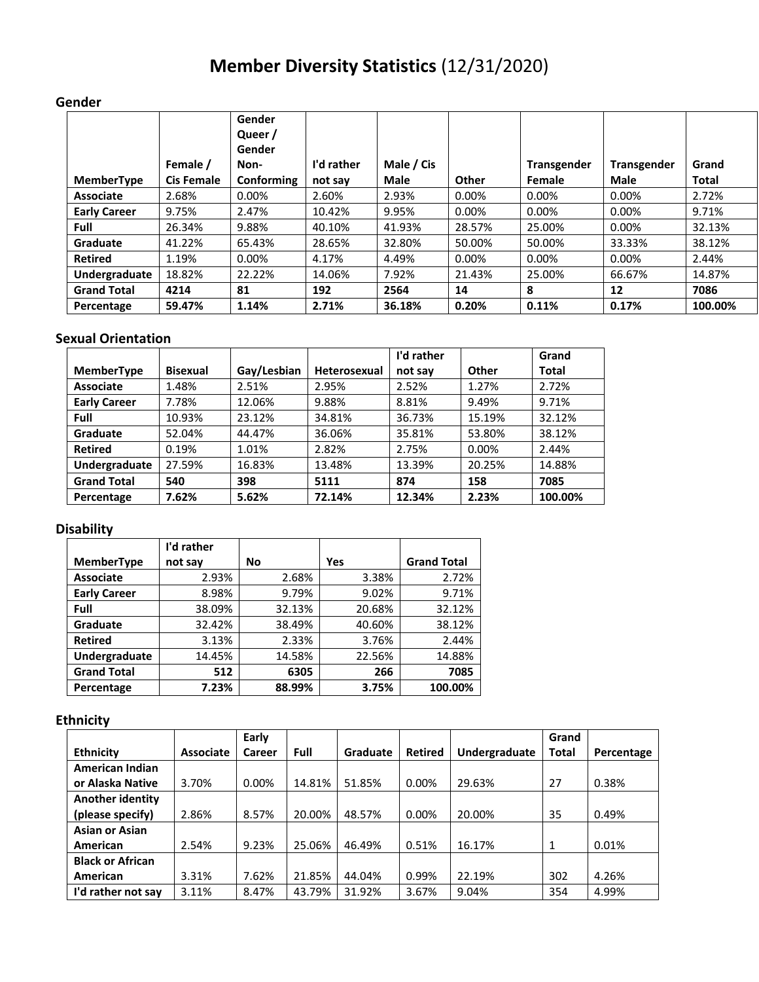# **Member Diversity Statistics** (12/31/2020)

## **Gender**

|                     |                   | Gender<br>Queer /<br>Gender |            |             |        |                    |                    |              |
|---------------------|-------------------|-----------------------------|------------|-------------|--------|--------------------|--------------------|--------------|
|                     | Female /          | Non-                        | I'd rather | Male / Cis  |        | <b>Transgender</b> | <b>Transgender</b> | Grand        |
| <b>MemberType</b>   | <b>Cis Female</b> | Conforming                  | not say    | <b>Male</b> | Other  | Female             | <b>Male</b>        | <b>Total</b> |
| Associate           | 2.68%             | $0.00\%$                    | 2.60%      | 2.93%       | 0.00%  | $0.00\%$           | 0.00%              | 2.72%        |
| <b>Early Career</b> | 9.75%             | 2.47%                       | 10.42%     | 9.95%       | 0.00%  | 0.00%              | 0.00%              | 9.71%        |
| <b>Full</b>         | 26.34%            | 9.88%                       | 40.10%     | 41.93%      | 28.57% | 25.00%             | 0.00%              | 32.13%       |
| Graduate            | 41.22%            | 65.43%                      | 28.65%     | 32.80%      | 50.00% | 50.00%             | 33.33%             | 38.12%       |
| <b>Retired</b>      | 1.19%             | $0.00\%$                    | 4.17%      | 4.49%       | 0.00%  | 0.00%              | 0.00%              | 2.44%        |
| Undergraduate       | 18.82%            | 22.22%                      | 14.06%     | 7.92%       | 21.43% | 25.00%             | 66.67%             | 14.87%       |
| <b>Grand Total</b>  | 4214              | 81                          | 192        | 2564        | 14     | 8                  | 12                 | 7086         |
| Percentage          | 59.47%            | 1.14%                       | 2.71%      | 36.18%      | 0.20%  | 0.11%              | 0.17%              | 100.00%      |

## **Sexual Orientation**

|                     |                 |             |                     | I'd rather |          | Grand   |
|---------------------|-----------------|-------------|---------------------|------------|----------|---------|
| <b>MemberType</b>   | <b>Bisexual</b> | Gay/Lesbian | <b>Heterosexual</b> | not say    | Other    | Total   |
| <b>Associate</b>    | 1.48%           | 2.51%       | 2.95%               | 2.52%      | 1.27%    | 2.72%   |
| <b>Early Career</b> | 7.78%           | 12.06%      | 9.88%               | 8.81%      | 9.49%    | 9.71%   |
| Full                | 10.93%          | 23.12%      | 34.81%              | 36.73%     | 15.19%   | 32.12%  |
| Graduate            | 52.04%          | 44.47%      | 36.06%              | 35.81%     | 53.80%   | 38.12%  |
| <b>Retired</b>      | 0.19%           | 1.01%       | 2.82%               | 2.75%      | $0.00\%$ | 2.44%   |
| Undergraduate       | 27.59%          | 16.83%      | 13.48%              | 13.39%     | 20.25%   | 14.88%  |
| <b>Grand Total</b>  | 540             | 398         | 5111                | 874        | 158      | 7085    |
| Percentage          | 7.62%           | 5.62%       | 72.14%              | 12.34%     | 2.23%    | 100.00% |

## **Disability**

|                     | I'd rather |        |        |                    |
|---------------------|------------|--------|--------|--------------------|
| <b>MemberType</b>   | not say    | No     | Yes    | <b>Grand Total</b> |
| <b>Associate</b>    | 2.93%      | 2.68%  | 3.38%  | 2.72%              |
| <b>Early Career</b> | 8.98%      | 9.79%  | 9.02%  | 9.71%              |
| Full                | 38.09%     | 32.13% | 20.68% | 32.12%             |
| Graduate            | 32.42%     | 38.49% | 40.60% | 38.12%             |
| <b>Retired</b>      | 3.13%      | 2.33%  | 3.76%  | 2.44%              |
| Undergraduate       | 14.45%     | 14.58% | 22.56% | 14.88%             |
| <b>Grand Total</b>  | 512        | 6305   | 266    | 7085               |
| Percentage          | 7.23%      | 88.99% | 3.75%  | 100.00%            |

## **Ethnicity**

|                         |                  | Early         |             |          |          |               | Grand        |            |
|-------------------------|------------------|---------------|-------------|----------|----------|---------------|--------------|------------|
| <b>Ethnicity</b>        | <b>Associate</b> | <b>Career</b> | <b>Full</b> | Graduate | Retired  | Undergraduate | <b>Total</b> | Percentage |
| <b>American Indian</b>  |                  |               |             |          |          |               |              |            |
| or Alaska Native        | 3.70%            | 0.00%         | 14.81%      | 51.85%   | $0.00\%$ | 29.63%        | 27           | 0.38%      |
| Another identity        |                  |               |             |          |          |               |              |            |
| (please specify)        | 2.86%            | 8.57%         | 20.00%      | 48.57%   | $0.00\%$ | 20.00%        | 35           | 0.49%      |
| <b>Asian or Asian</b>   |                  |               |             |          |          |               |              |            |
| American                | 2.54%            | 9.23%         | 25.06%      | 46.49%   | 0.51%    | 16.17%        | $\mathbf{1}$ | 0.01%      |
| <b>Black or African</b> |                  |               |             |          |          |               |              |            |
| <b>American</b>         | 3.31%            | 7.62%         | 21.85%      | 44.04%   | 0.99%    | 22.19%        | 302          | 4.26%      |
| I'd rather not say      | 3.11%            | 8.47%         | 43.79%      | 31.92%   | 3.67%    | 9.04%         | 354          | 4.99%      |